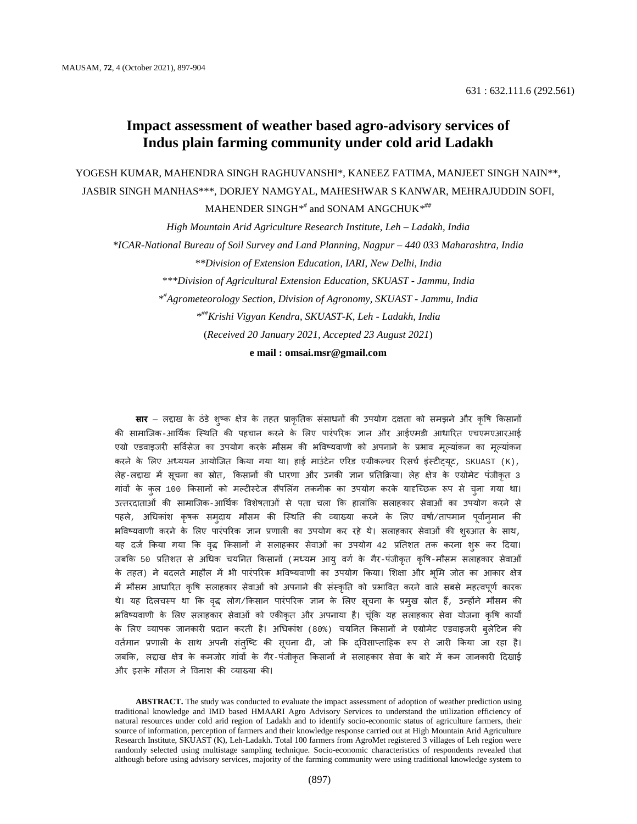# **Impact assessment of weather based agro-advisory services of Indus plain farming community under cold arid Ladakh**

YOGESH KUMAR, MAHENDRA SINGH RAGHUVANSHI\*, KANEEZ FATIMA, MANJEET SINGH NAIN\*\*, JASBIR SINGH MANHAS\*\*\*, DORJEY NAMGYAL, MAHESHWAR S KANWAR, MEHRAJUDDIN SOFI,

MAHENDER SINGH*\*#* and SONAM ANGCHUK*\*##*

*High Mountain Arid Agriculture Research Institute, Leh – Ladakh, India*

*\*ICAR-National Bureau of Soil Survey and Land Planning, Nagpur – 440 033 Maharashtra, India*

*\*\*Division of Extension Education, IARI, New Delhi, India*

*\*\*\*Division of Agricultural Extension Education, SKUAST - Jammu, India*

*\*# Agrometeorology Section, Division of Agronomy, SKUAST - Jammu, India*

*\*##Krishi Vigyan Kendra, SKUAST-K, Leh - Ladakh, India*

(*Received 20 January 2021, Accepted 23 August 2021*)

**e mail : omsai.msr@gmail.com**

**सार** – लद्दाख के ठंडे शुष्क क्षेत्र के तहत प्राकृतिक संसाधनों की उपयोग दक्षता को समझने और कृषि किसानों की सामाजिक-आर्थिक स्थिति की पहचान करने के लिए पारंपरिक ज्ञान और आईएमडी आधारित एचएमएआरआई एग्रो एडवाइजरी सर्विसेज का उपयोग करके मौसम की भविष्यवाणी को अपनाने के प्रभाव मूल्याकन का मूल्या करने के लिए अध्ययन आयोजित किया गया था। हाई माउंटेन एरिड एग्रीकल्चर रिसर्च इंस्टीट्युट, SKUAST (K), लेह-लद्दाख में सूचना का स्रोत, किसानों की धारणा और उनकी ज्ञान प्रतिक्रिया। लेह क्षेत्र के एग्रोमेट पजीकृत 3 गांवों के कुल 100 किसानों को मल्टीस्टेज सैंपलिंग तकनीक का उपयोग करके यादृच्छिक रूप से चुना गया था। उत्तरदाताओं की सामाजिक-आर्थिक विशेषताओं से पता चला कि हालांकि सलाहकार सेवाओं का उपयोग करने से पहले, अधिकाश कृषक समुदाय मौसम की स्थिति की व्याख्या करने के लिए वर्षा/तापमान पूर्वानुमान की भविष्यवाणी करने के लिए पारंपरिक ज्ञान प्रणाली का उपयोग कर रहे थे। सलाहकार सेवाओं की शुरुआत के साथ, यह दर्ज किया गया कि वृद्ध किसानों ने सलाहकार सेवाओं का उपयोग 42 प्रतिशत तक करना शुरू कर दिया। जबकि 50 प्रतिशत से अधिक चयनित किसानों (मध्यम आयु वर्ग के गैर-पंजीकृत कृषि-मौसम सलाहकार सेवाओं .<br>के तहत) ने बदलते माहौल में भी पारंपरिक भविष्यवाणी का उपयोग किया। शिक्षा और भूमि जोत का आकार क्षेत्र में मौसम आधारित कृषि सलाहकार सेवाओं को अपनाने की संस्कृति को प्रभावित करने वाले सबसे महत्वपूर्ण कारक थे। यह दिलचस्प था कि वृद्ध लोग/किसान पारंपरिक ज्ञान के लिए सूचना के प्रमुख स्रोत हैं, उन्होंने मौसम की भविष्यवाणी के लिए सलाहकार सेवाओं को एकीकृत और अपनाया है। चूंकि यह सलाहकार सेवा योजना कृषि कार्यों के लिए व्यापक जानकारी प्रदान करती है। अधिकांश (80%) चयनित किसानों ने एग्रोमेट एडवाइजरी बुलेटिन की वर्तमान प्रणाली के साथ अपनी सतुष्टि की सूचना दी, जो कि दोवेसाप्ताहिक रूप से जारी किया जा रहा है। जबकि, लद्दाख क्षेत्र के कमजोर गांवों के गैर-पंजीकृत किसानों ने सलाहकार सेवा के बारे में कम जानकारी दिखाई और इसके मौसम ने विनाश की व्याख्या की।

**ABSTRACT.** The study was conducted to evaluate the impact assessment of adoption of weather prediction using traditional knowledge and IMD based HMAARI Agro Advisory Services to understand the utilization efficiency of natural resources under cold arid region of Ladakh and to identify socio-economic status of agriculture farmers, their source of information, perception of farmers and their knowledge response carried out at High Mountain Arid Agriculture Research Institute, SKUAST (K), Leh-Ladakh. Total 100 farmers from AgroMet registered 3 villages of Leh region were randomly selected using multistage sampling technique. Socio-economic characteristics of respondents revealed that although before using advisory services, majority of the farming community were using traditional knowledge system to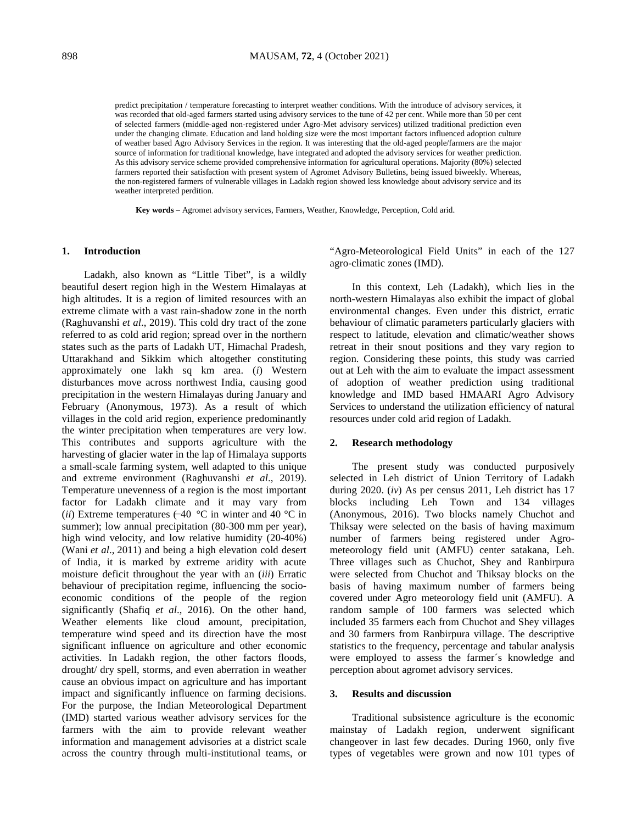predict precipitation / temperature forecasting to interpret weather conditions. With the introduce of advisory services, it was recorded that old-aged farmers started using advisory services to the tune of 42 per cent. While more than 50 per cent of selected farmers (middle-aged non-registered under Agro-Met advisory services) utilized traditional prediction even under the changing climate. Education and land holding size were the most important factors influenced adoption culture of weather based Agro Advisory Services in the region. It was interesting that the old-aged people/farmers are the major source of information for traditional knowledge, have integrated and adopted the advisory services for weather prediction. As this advisory service scheme provided comprehensive information for agricultural operations. Majority (80%) selected farmers reported their satisfaction with present system of Agromet Advisory Bulletins, being issued biweekly. Whereas, the non-registered farmers of vulnerable villages in Ladakh region showed less knowledge about advisory service and its weather interpreted perdition.

**Key words** – Agromet advisory services, Farmers, Weather, Knowledge, Perception, Cold arid.

### **1. Introduction**

Ladakh, also known as "Little Tibet", is a wildly beautiful desert region high in the Western Himalayas at high altitudes. It is a region of limited resources with an extreme climate with a vast rain-shadow zone in the north (Raghuvanshi *et al*., 2019). This cold dry tract of the zone referred to as cold arid region; spread over in the northern states such as the parts of Ladakh UT, Himachal Pradesh, Uttarakhand and Sikkim which altogether constituting approximately one lakh sq km area. (*i*) Western disturbances move across northwest India, causing good precipitation in the western Himalayas during January and February (Anonymous, 1973). As a result of which villages in the cold arid region, experience predominantly the winter precipitation when temperatures are very low. This contributes and supports agriculture with the harvesting of glacier water in the lap of Himalaya supports a small-scale farming system, well adapted to this unique and extreme environment (Raghuvanshi *et al*., 2019). Temperature unevenness of a region is the most important factor for Ladakh climate and it may vary from (*ii*) Extreme temperatures (−40  $\degree$ C in winter and 40  $\degree$ C in summer); low annual precipitation (80-300 mm per year), high wind velocity, and low relative humidity (20-40%) (Wani *et al*., [2011\)](https://www.tandfonline.com/doi/full/10.1080/02626667.2017.1303705) and being a high elevation cold desert of India, it is marked by extreme aridity with acute moisture deficit throughout the year with an (*iii*) Erratic behaviour of precipitation regime, influencing the socioeconomic conditions of the people of the region significantly (Shafiq *et al*., 2016). On the other hand, Weather elements like cloud amount, precipitation, temperature wind speed and its direction have the most significant influence on agriculture and other economic activities. In Ladakh region, the other factors floods, drought/ dry spell, storms, and even aberration in weather cause an obvious impact on agriculture and has important impact and significantly influence on farming decisions. For the purpose, the Indian Meteorological Department [\(IMD\)](http://www.imd.gov.in/) started various weather advisory services for the farmers with the aim to provide relevant weather information and management advisories at a district scale across the country through multi-institutional teams, or "Agro-Meteorological Field Units" in each of the 127 agro-climatic zones (IMD).

In this context, Leh (Ladakh), which lies in the north-western Himalayas also exhibit the impact of global environmental changes. Even under this district, erratic behaviour of climatic parameters particularly glaciers with respect to latitude, elevation and climatic/weather shows retreat in their snout positions and they vary region to region. Considering these points, this study was carried out at Leh with the aim to evaluate the impact assessment of adoption of weather prediction using traditional knowledge and IMD based HMAARI Agro Advisory Services to understand the utilization efficiency of natural resources under cold arid region of Ladakh.

#### **2. Research methodology**

The present study was conducted purposively selected in Leh district of Union Territory of Ladakh during 2020. (*iv*) As per census 2011, Leh district has 17 blocks including Leh Town and 134 villages (Anonymous, 2016). Two blocks namely Chuchot and Thiksay were selected on the basis of having maximum number of farmers being registered under Agrometeorology field unit (AMFU) center satakana, Leh. Three villages such as Chuchot, Shey and Ranbirpura were selected from Chuchot and Thiksay blocks on the basis of having maximum number of farmers being covered under Agro meteorology field unit (AMFU). A random sample of 100 farmers was selected which included 35 farmers each from Chuchot and Shey villages and 30 farmers from Ranbirpura village. The descriptive statistics to the frequency, percentage and tabular analysis were employed to assess the farmer´s knowledge and perception about agromet advisory services.

### **3. Results and discussion**

Traditional subsistence agriculture is the economic mainstay of Ladakh region, underwent significant changeover in last few decades. During 1960, only five types of vegetables were grown and now 101 types of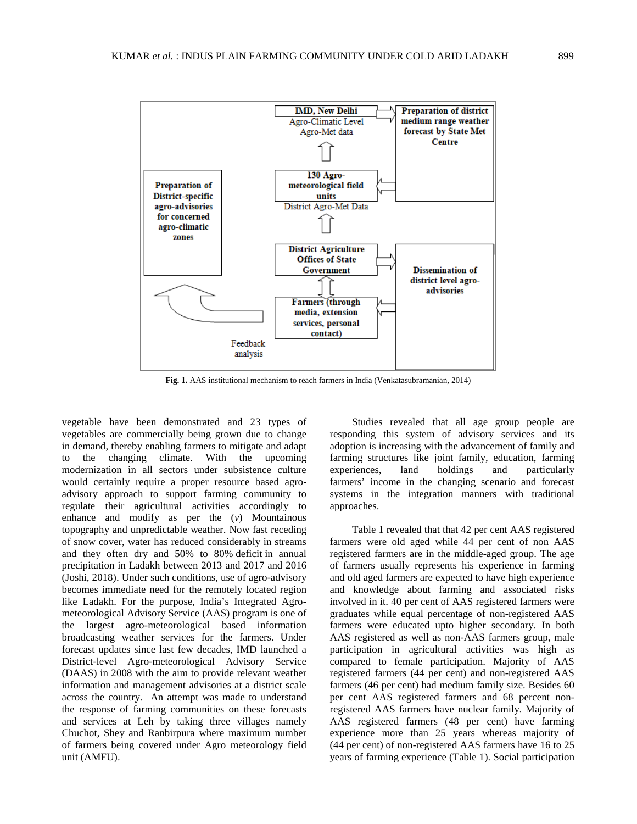

**Fig. 1.** AAS institutional mechanism to reach farmers in India (Venkatasubramanian, 2014)

vegetable have been demonstrated and 23 types of vegetables are commercially being grown due to change in demand, thereby enabling farmers to mitigate and adapt to the changing climate. With the upcoming modernization in all sectors under subsistence culture would certainly require a proper resource based agroadvisory approach to support farming community to regulate their agricultural activities accordingly to enhance and modify as per the (*v*) Mountainous topography and unpredictable weather. Now fast receding of snow cover, water has reduced considerably in streams and they often dry and 50% to 80% [deficit](https://www.downtoearth.org.in/news/water/problem-in-paradise-water-crisis-deepens-in-ladakh-amid-surge-in-tourists-61105) in annual precipitation in Ladakh between 2013 and 2017 and 2016 (Joshi, 2018). Under such conditions, use of agro-advisory becomes immediate need for the remotely located region like Ladakh. For the purpose, India's Integrated Agrometeorological Advisory Service (AAS) program is one of the largest agro-meteorological based information broadcasting weather services for the farmers. Under forecast updates since last few decades, IMD launched a District-level Agro-meteorological Advisory Service (DAAS) in 2008 with the aim to provide relevant weather information and management advisories at a district scale across the country. An attempt was made to understand the response of farming communities on these forecasts and services at Leh by taking three villages namely Chuchot, Shey and Ranbirpura where maximum number of farmers being covered under Agro meteorology field unit (AMFU).

Studies revealed that all age group people are responding this system of advisory services and its adoption is increasing with the advancement of family and farming structures like joint family, education, farming experiences, land holdings and particularly farmers' income in the changing scenario and forecast systems in the integration manners with traditional approaches.

Table 1 revealed that that 42 per cent AAS registered farmers were old aged while 44 per cent of non AAS registered farmers are in the middle-aged group. The age of farmers usually represents his experience in farming and old aged farmers are expected to have high experience and knowledge about farming and associated risks involved in it. 40 per cent of AAS registered farmers were graduates while equal percentage of non-registered AAS farmers were educated upto higher secondary. In both AAS registered as well as non-AAS farmers group, male participation in agricultural activities was high as compared to female participation. Majority of AAS registered farmers (44 per cent) and non-registered AAS farmers (46 per cent) had medium family size. Besides 60 per cent AAS registered farmers and 68 percent nonregistered AAS farmers have nuclear family. Majority of AAS registered farmers (48 per cent) have farming experience more than 25 years whereas majority of (44 per cent) of non-registered AAS farmers have 16 to 25 years of farming experience (Table 1). Social participation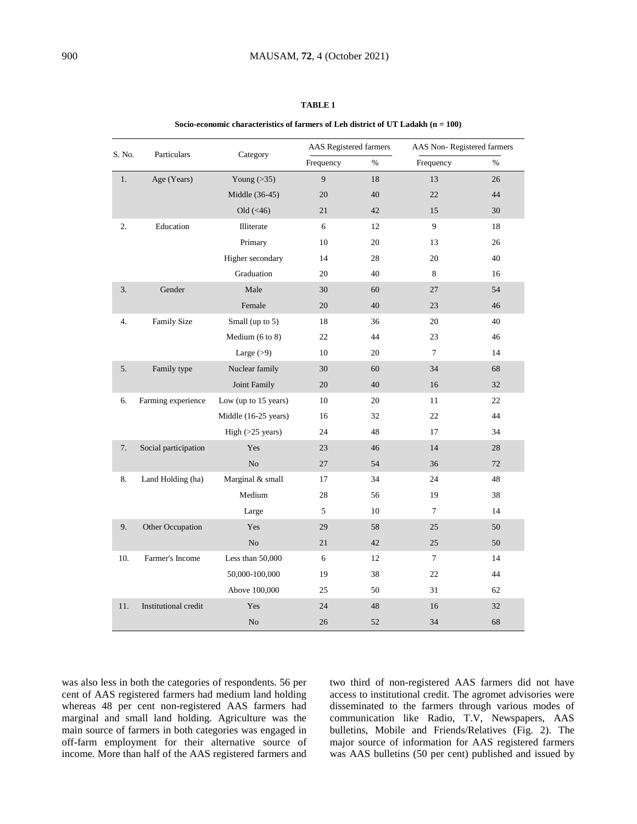### **TABLE 1**

#### **Socio-economic characteristics of farmers of Leh district of UT Ladakh (n = 100)**

|        |                      |                      | AAS Registered farmers |      | AAS Non-Registered farmers                                                                                                                                                             |      |
|--------|----------------------|----------------------|------------------------|------|----------------------------------------------------------------------------------------------------------------------------------------------------------------------------------------|------|
| S. No. | Particulars          | Category             | Frequency              | $\%$ | Frequency<br>13<br>22<br>15<br>9<br>13<br>20<br>8<br>27<br>23<br>20<br>23<br>$\tau$<br>34<br>16<br>11<br>22<br>17<br>14<br>36<br>24<br>19<br>$\tau$<br>25<br>25<br>7<br>22<br>31<br>16 | $\%$ |
| 1.     | Age (Years)          | Young $(>35)$        | 9                      | 18   |                                                                                                                                                                                        | 26   |
|        |                      | Middle (36-45)       | 20                     | 40   |                                                                                                                                                                                        | 44   |
|        |                      | Old $(\leq 46)$      | 21                     | 42   |                                                                                                                                                                                        | 30   |
| 2.     | Education            | Illiterate           | 6                      | 12   |                                                                                                                                                                                        | 18   |
|        |                      | Primary              | 10                     | 20   |                                                                                                                                                                                        | 26   |
|        |                      | Higher secondary     | 14                     | 28   |                                                                                                                                                                                        | 40   |
|        |                      | Graduation           | 20                     | 40   |                                                                                                                                                                                        | 16   |
| 3.     | Gender               | Male                 | 30                     | 60   |                                                                                                                                                                                        | 54   |
|        |                      | Female               | 20                     | 40   |                                                                                                                                                                                        | 46   |
| 4.     | <b>Family Size</b>   | Small (up to 5)      | 18                     | 36   |                                                                                                                                                                                        | 40   |
|        |                      | Medium (6 to 8)      | 22                     | 44   |                                                                                                                                                                                        | 46   |
|        |                      | Large $(>9)$         | 10                     | 20   |                                                                                                                                                                                        | 14   |
| 5.     | Family type          | Nuclear family       | 30                     | 60   |                                                                                                                                                                                        | 68   |
|        |                      | Joint Family         | 20                     | 40   |                                                                                                                                                                                        | 32   |
| 6.     | Farming experience   | Low (up to 15 years) | 10                     | 20   |                                                                                                                                                                                        | 22   |
|        |                      | Middle (16-25 years) | 16                     | 32   |                                                                                                                                                                                        | 44   |
|        |                      | High $(>25$ years)   | 24                     | 48   |                                                                                                                                                                                        | 34   |
| 7.     | Social participation | Yes                  | 23                     | 46   |                                                                                                                                                                                        | 28   |
|        |                      | No                   | 27                     | 54   |                                                                                                                                                                                        | 72   |
| 8.     | Land Holding (ha)    | Marginal & small     | 17                     | 34   |                                                                                                                                                                                        | 48   |
|        |                      | Medium               | 28                     | 56   |                                                                                                                                                                                        | 38   |
|        |                      | Large                | 5                      | 10   |                                                                                                                                                                                        | 14   |
| 9.     | Other Occupation     | Yes                  | 29                     | 58   |                                                                                                                                                                                        | 50   |
|        |                      | No                   | 21                     | 42   |                                                                                                                                                                                        | 50   |
| 10.    | Farmer's Income      | Less than 50,000     | 6                      | 12   |                                                                                                                                                                                        | 14   |
|        |                      | 50,000-100,000       | 19                     | 38   |                                                                                                                                                                                        | 44   |
|        |                      | Above 100,000        | 25                     | 50   |                                                                                                                                                                                        | 62   |
| 11.    | Institutional credit | Yes                  | 24                     | 48   |                                                                                                                                                                                        | 32   |
|        |                      | N <sub>o</sub>       | 26                     | 52   | 34                                                                                                                                                                                     | 68   |

was also less in both the categories of respondents. 56 per cent of AAS registered farmers had medium land holding whereas 48 per cent non-registered AAS farmers had marginal and small land holding. Agriculture was the main source of farmers in both categories was engaged in off-farm employment for their alternative source of income. More than half of the AAS registered farmers and two third of non-registered AAS farmers did not have access to institutional credit. The agromet advisories were disseminated to the farmers through various modes of communication like Radio, T.V, Newspapers, AAS bulletins, Mobile and Friends/Relatives (Fig. 2). The major source of information for AAS registered farmers was AAS bulletins (50 per cent) published and issued by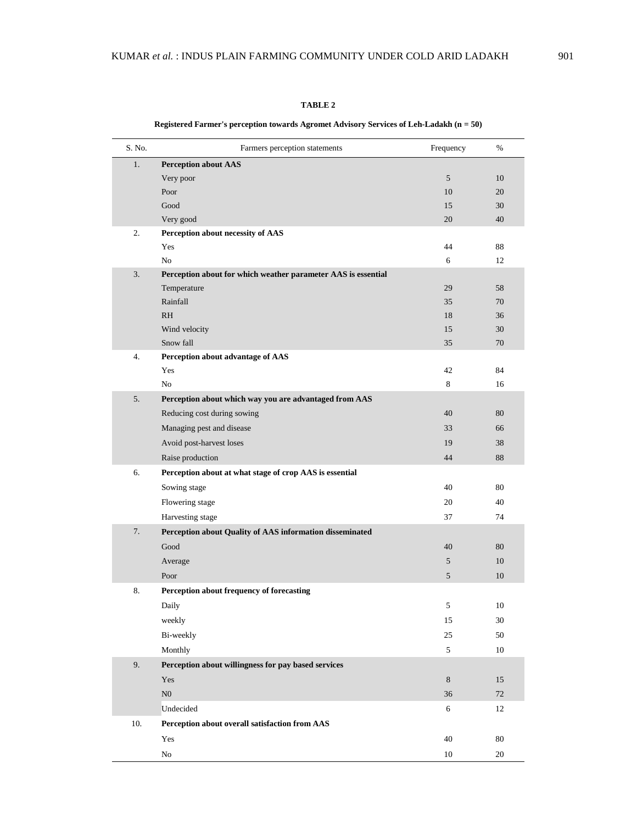### **TABLE 2**

| S. No. | Farmers perception statements                                 | Frequency  | %        |
|--------|---------------------------------------------------------------|------------|----------|
| 1.     | <b>Perception about AAS</b>                                   |            |          |
|        | Very poor                                                     | 5          | 10       |
|        | Poor                                                          | 10         | 20       |
|        | Good                                                          | 15         | 30       |
|        | Very good                                                     | 20         | 40       |
| 2.     | Perception about necessity of AAS                             |            |          |
|        | Yes                                                           | 44         | 88       |
|        | No                                                            | 6          | 12       |
| 3.     | Perception about for which weather parameter AAS is essential |            |          |
|        | Temperature                                                   | 29         | 58       |
|        | Rainfall                                                      | 35         | 70       |
|        | <b>RH</b>                                                     | 18         | 36       |
|        | Wind velocity<br>Snow fall                                    | 15<br>35   | 30<br>70 |
| 4.     | Perception about advantage of AAS                             |            |          |
|        | Yes                                                           | 42         | 84       |
|        | No                                                            | 8          | 16       |
| 5.     | Perception about which way you are advantaged from AAS        |            |          |
|        | Reducing cost during sowing                                   | 40         | 80       |
|        | Managing pest and disease                                     | 33         | 66       |
|        | Avoid post-harvest loses                                      | 19         | 38       |
|        | Raise production                                              | 44         | 88       |
| 6.     | Perception about at what stage of crop AAS is essential       |            |          |
|        | Sowing stage                                                  | 40         | 80       |
|        | Flowering stage                                               | 20         | 40       |
|        | Harvesting stage                                              | 37         | 74       |
| 7.     | Perception about Quality of AAS information disseminated      |            |          |
|        | Good                                                          | 40         | 80       |
|        | Average                                                       | 5          | 10       |
|        | Poor                                                          | $\sqrt{5}$ | 10       |
| 8.     | Perception about frequency of forecasting                     |            |          |
|        | Daily                                                         | 5          | 10       |
|        | weekly                                                        | 15         | $30\,$   |
|        | Bi-weekly                                                     | 25         | 50       |
|        | Monthly                                                       | 5          | 10       |
| 9.     | Perception about willingness for pay based services           |            |          |
|        | Yes                                                           | $\,8\,$    | 15       |
|        | ${\rm N0}$                                                    | 36         | 72       |
|        | Undecided                                                     | 6          | 12       |
| 10.    | Perception about overall satisfaction from AAS                |            |          |
|        | Yes                                                           | 40         | $80\,$   |
|        | ${\rm No}$                                                    | 10         | $20\,$   |

## **Registered Farmer's perception towards Agromet Advisory Services of Leh-Ladakh (n = 50)**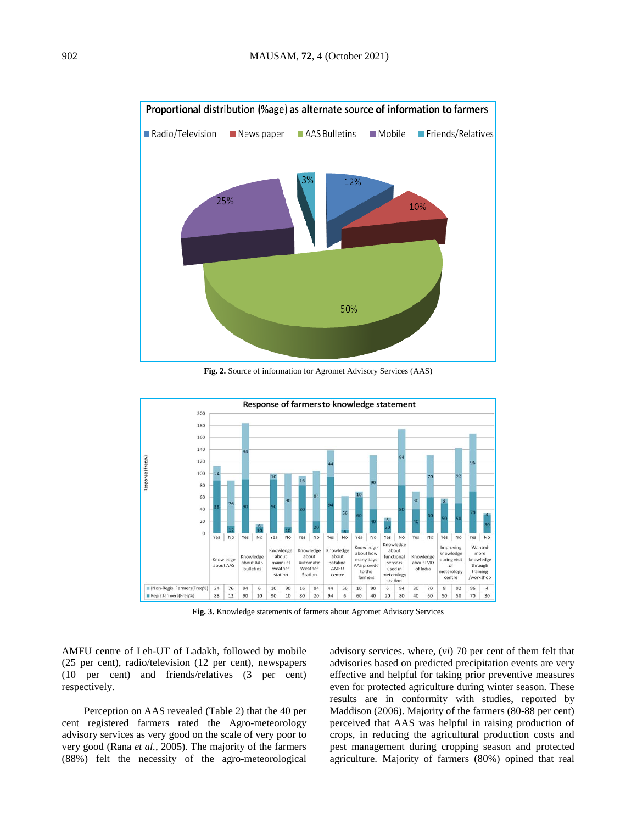

**Fig. 2.** Source of information for Agromet Advisory Services (AAS)



**Fig. 3.** Knowledge statements of farmers about Agromet Advisory Services

AMFU centre of Leh-UT of Ladakh, followed by mobile (25 per cent), radio/television (12 per cent), newspapers (10 per cent) and friends/relatives (3 per cent) respectively.

Perception on AAS revealed (Table 2) that the 40 per cent registered farmers rated the Agro-meteorology advisory services as very good on the scale of very poor to very good (Rana *et al.*, 2005). The majority of the farmers (88%) felt the necessity of the agro-meteorological advisory services. where, (*vi*) 70 per cent of them felt that advisories based on predicted precipitation events are very effective and helpful for taking prior preventive measures even for protected agriculture during winter season. These results are in conformity with studies, reported by Maddison (2006). Majority of the farmers (80-88 per cent) perceived that AAS was helpful in raising production of crops, in reducing the agricultural production costs and pest management during cropping season and protected agriculture. Majority of farmers (80%) opined that real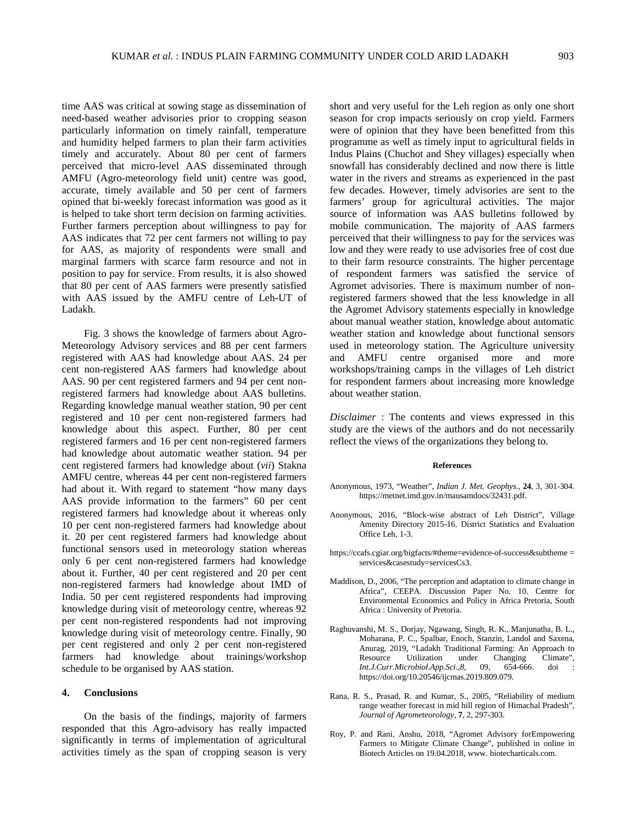time AAS was critical at sowing stage as dissemination of need-based weather advisories prior to cropping season particularly information on timely rainfall, temperature and humidity helped farmers to plan their farm activities timely and accurately. About 80 per cent of farmers perceived that micro-level AAS disseminated through AMFU (Agro-meteorology field unit) centre was good, accurate, timely available and 50 per cent of farmers opined that bi-weekly forecast information was good as it is helped to take short term decision on farming activities. Further farmers perception about willingness to pay for AAS indicates that 72 per cent farmers not willing to pay for AAS, as majority of respondents were small and marginal farmers with scarce farm resource and not in position to pay for service. From results, it is also showed that 80 per cent of AAS farmers were presently satisfied with AAS issued by the AMFU centre of Leh-UT of Ladakh.

Fig. 3 shows the knowledge of farmers about Agro-Meteorology Advisory services and 88 per cent farmers registered with AAS had knowledge about AAS. 24 per cent non-registered AAS farmers had knowledge about AAS. 90 per cent registered farmers and 94 per cent nonregistered farmers had knowledge about AAS bulletins. Regarding knowledge manual weather station, 90 per cent registered and 10 per cent non-registered farmers had knowledge about this aspect. Further, 80 per cent registered farmers and 16 per cent non-registered farmers had knowledge about automatic weather station. 94 per cent registered farmers had knowledge about (*vii*) Stakna AMFU centre, whereas 44 per cent non-registered farmers had about it. With regard to statement "how many days AAS provide information to the farmers" 60 per cent registered farmers had knowledge about it whereas only 10 per cent non-registered farmers had knowledge about it. 20 per cent registered farmers had knowledge about functional sensors used in meteorology station whereas only 6 per cent non-registered farmers had knowledge about it. Further, 40 per cent registered and 20 per cent non-registered farmers had knowledge about IMD of India. 50 per cent registered respondents had improving knowledge during visit of meteorology centre, whereas 92 per cent non-registered respondents had not improving knowledge during visit of meteorology centre. Finally, 90 per cent registered and only 2 per cent non-registered farmers had knowledge about trainings/workshop schedule to be organised by AAS station.

### **4. Conclusions**

On the basis of the findings, majority of farmers responded that this Agro-advisory has really impacted significantly in terms of implementation of agricultural activities timely as the span of cropping season is very short and very useful for the Leh region as only one short season for crop impacts seriously on crop yield. Farmers were of opinion that they have been benefitted from this programme as well as timely input to agricultural fields in Indus Plains (Chuchot and Shey villages) especially when snowfall has considerably declined and now there is little water in the rivers and streams as experienced in the past few decades. However, timely advisories are sent to the farmers' group for agricultural activities. The major source of information was AAS bulletins followed by mobile communication. The majority of AAS farmers perceived that their willingness to pay for the services was low and they were ready to use advisories free of cost due to their farm resource constraints. The higher percentage of respondent farmers was satisfied the service of Agromet advisories. There is maximum number of nonregistered farmers showed that the less knowledge in all the Agromet Advisory statements especially in knowledge about manual weather station, knowledge about automatic weather station and knowledge about functional sensors used in meteorology station. The Agriculture university and AMFU centre organised more and more workshops/training camps in the villages of Leh district for respondent farmers about increasing more knowledge about weather station.

*Disclaimer* : The contents and views expressed in this study are the views of the authors and do not necessarily reflect the views of the organizations they belong to.

#### **References**

- Anonymous, 1973, "Weather", *Indian J. Met. Geophys*., **24**, 3, 301-304. https://metnet.imd.gov.in/mausamdocs/32431.pdf.
- Anonymous, 2016, "Block-wise abstract of Leh District", Village Amenity Directory 2015-16. District Statistics and Evaluation Office Leh, 1-3.
- [https://ccafs.cgiar.org/bigfacts/#theme=evidence-of-success&subtheme](https://ccafs.cgiar.org/bigfacts/#theme=evidence-of-success&subtheme=services & casestudy=servicesCs3) = [services&casestudy=servicesCs3.](https://ccafs.cgiar.org/bigfacts/#theme=evidence-of-success&subtheme=services & casestudy=servicesCs3)
- Maddison, D., 2006, "The perception and adaptation to climate change in Africa", CEEPA. Discussion Paper No. 10. Centre for Environmental Economics and Policy in Africa Pretoria, South Africa : University of Pretoria.
- Raghuvanshi, M. S., Dorjay, Ngawang, Singh, R. K., Manjunatha, B. L., Moharana, P. C., Spalbar, Enoch, Stanzin, Landol and Saxena, Anurag, 2019, "Ladakh Traditional Farming: An Approach to Resource Utilization under Changing Climate",<br>Int.J.Curr.Microbiol.App.Sci.,8, 09, 654-666. doi : *Int.J.Curr.Microbiol.App.Sci.,8,* [https://doi.org/10.20546/ijcmas.2019.809.079.](https://doi.org/10.20546/ijcmas.2019.809.079)
- Rana, R. S., Prasad, R. and Kumar, S., 2005, "Reliability of medium range weather forecast in mid hill region of Himachal Pradesh", *Journal of Agrometeorology*, **7**, 2, 297-303.
- Roy, P. and Rani, Anshu, 2018, "Agromet Advisory forEmpowering Farmers to Mitigate Climate Change", published in online in Biotech Articles on 19.04.2018, www. biotecharticals.com.